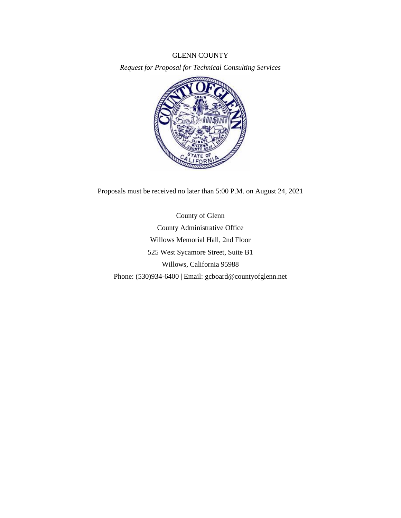### GLENN COUNTY

*Request for Proposal for Technical Consulting Services*



Proposals must be received no later than 5:00 P.M. on August 24, 2021

County of Glenn County Administrative Office Willows Memorial Hall, 2nd Floor 525 West Sycamore Street, Suite B1 Willows, California 95988 Phone: (530)934-6400 | Email: gcboard@countyofglenn.net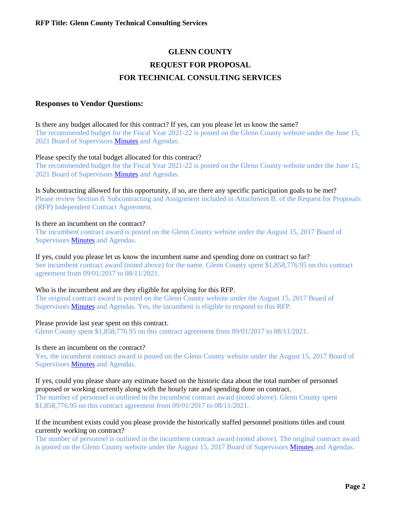# **GLENN COUNTY REQUEST FOR PROPOSAL FOR TECHNICAL CONSULTING SERVICES**

# **Responses to Vendor Questions:**

Is there any budget allocated for this contract? If yes, can you please let us know the same? The recommended budget for the Fiscal Year 2021-22 is posted on the Glenn County website under the June 15, 2021 Board of Supervisors [Minutes](https://glenncounty.granicus.com/MinutesViewer.php?view_id=8&clip_id=1979) and Agendas.

### Please specify the total budget allocated for this contract?

The recommended budget for the Fiscal Year 2021-22 is posted on the Glenn County website under the June 15, 2021 Board of Supervisors [Minutes](https://glenncounty.granicus.com/MinutesViewer.php?view_id=8&clip_id=1979) and Agendas.

Is Subcontracting allowed for this opportunity, if so, are there any specific participation goals to be met? Please review Section 8. Subcontracting and Assignment included in Attachment B. of the Request for Proposals (RFP) Independent Contract Agreement.

## Is there an incumbent on the contract?

The incumbent contract award is posted on the Glenn County website under the August 15, 2017 Board of Supervisor[s Minutes](https://glenncounty.granicus.com/MetaViewer.php?view_id=9&clip_id=1646&meta_id=155747) and Agendas.

If yes, could you please let us know the incumbent name and spending done on contract so far? See incumbent contract award (noted above) for the name. Glenn County spent \$1,858,776.95 on this contract agreement from 09/01/2017 to 08/11/2021.

## Who is the incumbent and are they eligible for applying for this RFP.

The original contract award is posted on the Glenn County website under the August 15, 2017 Board of Supervisor[s Minutes](https://glenncounty.granicus.com/MetaViewer.php?view_id=9&clip_id=1646&meta_id=155747) and Agendas. Yes, the incumbent is eligible to respond to this RFP.

#### Please provide last year spent on this contract.

Glenn County spent \$1,858,776.95 on this contract agreement from 09/01/2017 to 08/11/2021.

#### Is there an incumbent on the contract?

Yes, the incumbent contract award is posted on the Glenn County website under the August 15, 2017 Board of Supervisor[s Minutes](https://glenncounty.granicus.com/MetaViewer.php?view_id=9&clip_id=1646&meta_id=155747) and Agendas.

#### If yes, could you please share any estimate based on the historic data about the total number of personnel proposed or working currently along with the hourly rate and spending done on contract.

The number of personnel is outlined in the incumbent contract award (noted above). Glenn County spent \$1,858,776.95 on this contract agreement from 09/01/2017 to 08/11/2021.

## If the incumbent exists could you please provide the historically staffed personnel positions titles and count currently working on contract?

The number of personnel is outlined in the incumbent contract award (noted above). The original contract award is posted on the Glenn County website under the August 15, 2017 Board of Supervisor[s Minutes](https://glenncounty.granicus.com/MetaViewer.php?view_id=9&clip_id=1646&meta_id=155747) and Agendas.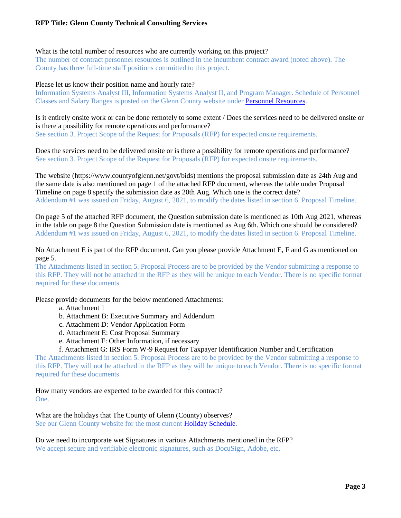# **RFP Title: Glenn County Technical Consulting Services**

#### What is the total number of resources who are currently working on this project?

The number of contract personnel resources is outlined in the incumbent contract award (noted above). The County has three full-time staff positions committed to this project.

#### Please let us know their position name and hourly rate?

Information Systems Analyst III, Information Systems Analyst II, and Program Manager. Schedule of Personnel Classes and Salary Ranges is posted on the Glenn County website under [Personnel Resources.](https://www.countyofglenn.net/dept/personnel/personnel-resources)

Is it entirely onsite work or can be done remotely to some extent / Does the services need to be delivered onsite or is there a possibility for remote operations and performance? See section 3. Project Scope of the Request for Proposals (RFP) for expected onsite requirements.

Does the services need to be delivered onsite or is there a possibility for remote operations and performance? See section 3. Project Scope of the Request for Proposals (RFP) for expected onsite requirements.

The website (https://www.countyofglenn.net/govt/bids) mentions the proposal submission date as 24th Aug and the same date is also mentioned on page 1 of the attached RFP document, whereas the table under Proposal Timeline on page 8 specify the submission date as 20th Aug. Which one is the correct date? Addendum #1 was issued on Friday, August 6, 2021, to modify the dates listed in section 6. Proposal Timeline.

On page 5 of the attached RFP document, the Question submission date is mentioned as 10th Aug 2021, whereas in the table on page 8 the Question Submission date is mentioned as Aug 6th. Which one should be considered? Addendum #1 was issued on Friday, August 6, 2021, to modify the dates listed in section 6. Proposal Timeline.

## No Attachment E is part of the RFP document. Can you please provide Attachment E, F and G as mentioned on page 5.

The Attachments listed in section 5. Proposal Process are to be provided by the Vendor submitting a response to this RFP. They will not be attached in the RFP as they will be unique to each Vendor. There is no specific format required for these documents.

Please provide documents for the below mentioned Attachments:

- a. Attachment 1
- b. Attachment B: Executive Summary and Addendum
- c. Attachment D: Vendor Application Form
- d. Attachment E: Cost Proposal Summary
- e. Attachment F: Other Information, if necessary
- f. Attachment G: IRS Form W-9 Request for Taxpayer Identification Number and Certification

The Attachments listed in section 5. Proposal Process are to be provided by the Vendor submitting a response to this RFP. They will not be attached in the RFP as they will be unique to each Vendor. There is no specific format required for these documents

How many vendors are expected to be awarded for this contract? One.

What are the holidays that The County of Glenn (County) observes? See our Glenn County website for the most current **Holiday Schedule**.

Do we need to incorporate wet Signatures in various Attachments mentioned in the RFP? We accept secure and verifiable electronic signatures, such as DocuSign, Adobe, etc.